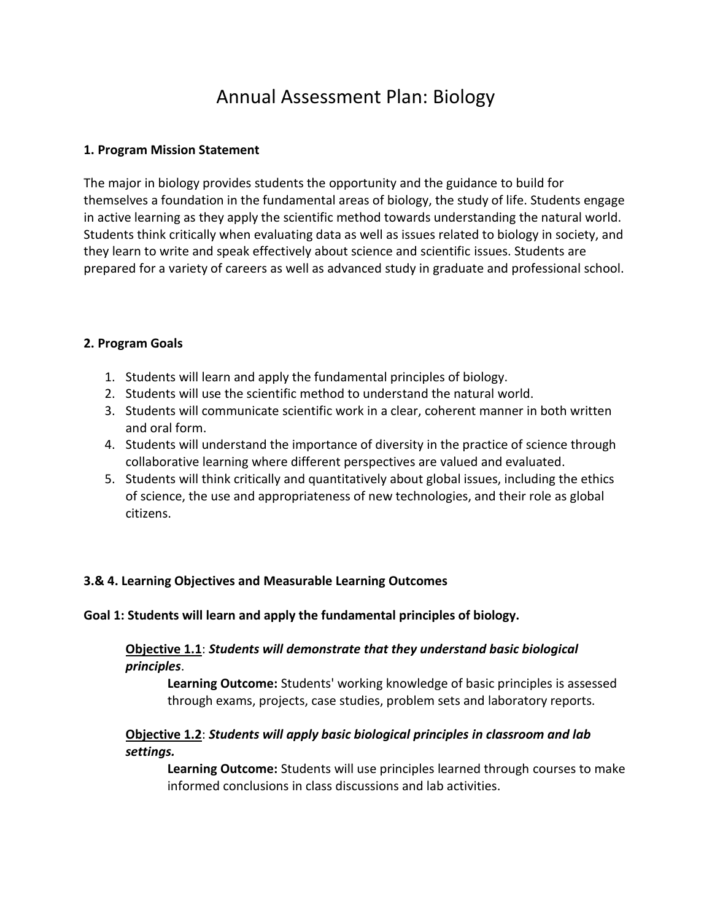# Annual Assessment Plan: Biology

# **1. Program Mission Statement**

The major in biology provides students the opportunity and the guidance to build for themselves a foundation in the fundamental areas of biology, the study of life. Students engage in active learning as they apply the scientific method towards understanding the natural world. Students think critically when evaluating data as well as issues related to biology in society, and they learn to write and speak effectively about science and scientific issues. Students are prepared for a variety of careers as well as advanced study in graduate and professional school.

# **2. Program Goals**

- 1. Students will learn and apply the fundamental principles of biology.
- 2. Students will use the scientific method to understand the natural world.
- 3. Students will communicate scientific work in a clear, coherent manner in both written and oral form.
- 4. Students will understand the importance of diversity in the practice of science through collaborative learning where different perspectives are valued and evaluated.
- 5. Students will think critically and quantitatively about global issues, including the ethics of science, the use and appropriateness of new technologies, and their role as global citizens.

# **3.& 4. Learning Objectives and Measurable Learning Outcomes**

# **Goal 1: Students will learn and apply the fundamental principles of biology.**

# **Objective 1.1**: *Students will demonstrate that they understand basic biological principles*.

**Learning Outcome:** Students' working knowledge of basic principles is assessed through exams, projects, case studies, problem sets and laboratory reports.

# **Objective 1.2**: *Students will apply basic biological principles in classroom and lab settings.*

**Learning Outcome:** Students will use principles learned through courses to make informed conclusions in class discussions and lab activities.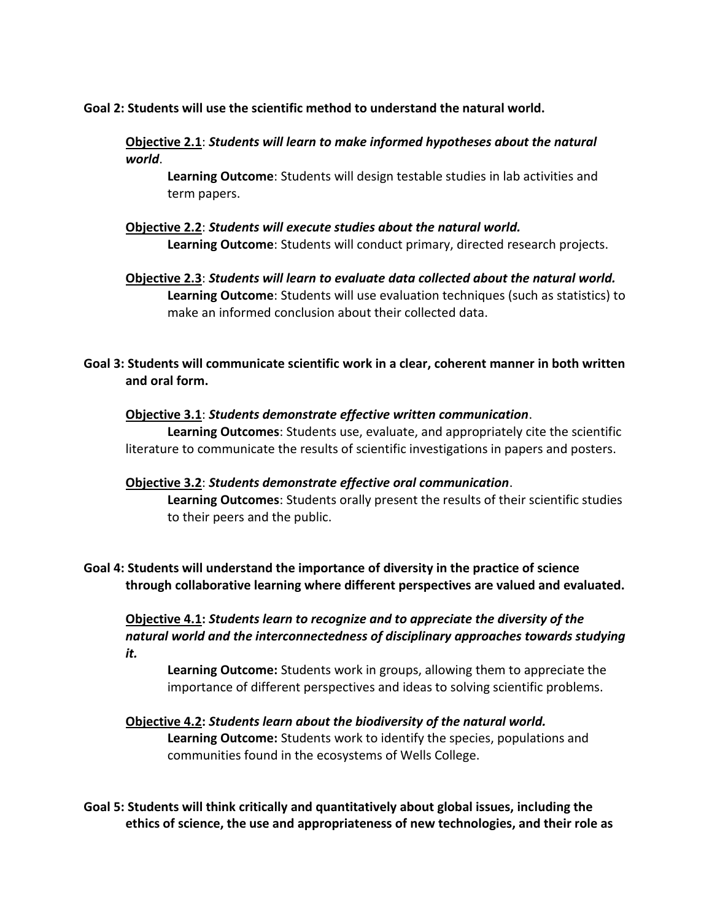# **Goal 2: Students will use the scientific method to understand the natural world.**

#### **Objective 2.1**: *Students will learn to make informed hypotheses about the natural world*.

**Learning Outcome**: Students will design testable studies in lab activities and term papers.

- **Objective 2.2**: *Students will execute studies about the natural world.* **Learning Outcome**: Students will conduct primary, directed research projects.
- **Objective 2.3**: *Students will learn to evaluate data collected about the natural world.* **Learning Outcome**: Students will use evaluation techniques (such as statistics) to make an informed conclusion about their collected data.

# **Goal 3: Students will communicate scientific work in a clear, coherent manner in both written and oral form.**

#### **Objective 3.1**: *Students demonstrate effective written communication*.

**Learning Outcomes**: Students use, evaluate, and appropriately cite the scientific literature to communicate the results of scientific investigations in papers and posters.

#### **Objective 3.2**: *Students demonstrate effective oral communication*.

**Learning Outcomes**: Students orally present the results of their scientific studies to their peers and the public.

# **Goal 4: Students will understand the importance of diversity in the practice of science through collaborative learning where different perspectives are valued and evaluated.**

# **Objective 4.1:** *Students learn to recognize and to appreciate the diversity of the natural world and the interconnectedness of disciplinary approaches towards studying it.*

**Learning Outcome:** Students work in groups, allowing them to appreciate the importance of different perspectives and ideas to solving scientific problems.

#### **Objective 4.2:** *Students learn about the biodiversity of the natural world.*

**Learning Outcome:** Students work to identify the species, populations and communities found in the ecosystems of Wells College.

**Goal 5: Students will think critically and quantitatively about global issues, including the ethics of science, the use and appropriateness of new technologies, and their role as**